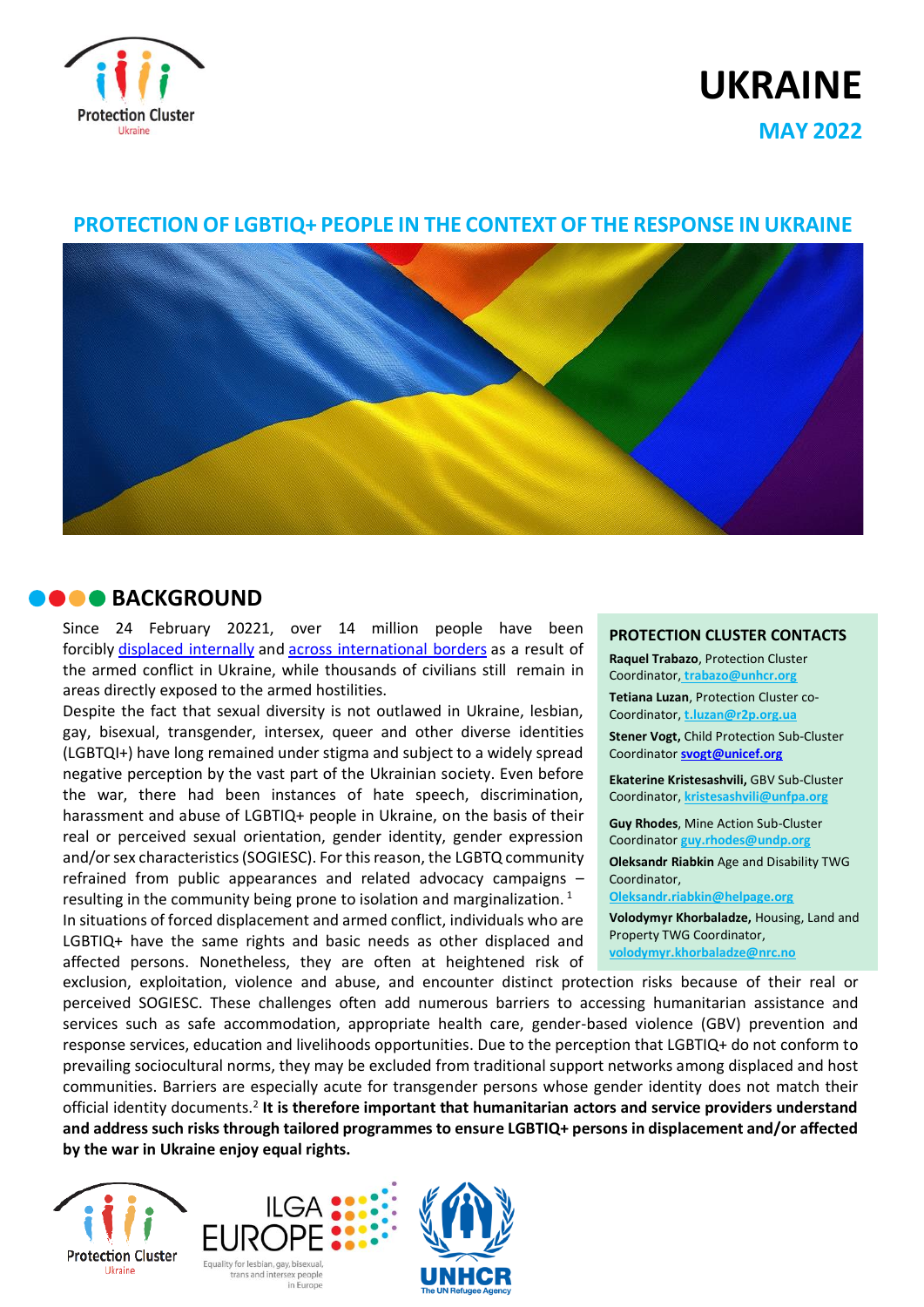

# **UKRAINE**

**MAY 2022**

## **PROTECTION OF LGBTIQ+ PEOPLE IN THE CONTEXT OF THE RESPONSE IN UKRAINE**



## **BACKGROUND**

Since 24 February 20221, over 14 million people have been forcibly displaced [internally](https://eur02.safelinks.protection.outlook.com/?url=https%3A%2F%2Fdtm.iom.int%2Freports%2Fukraine-%25E2%2580%2594-internal-displacement-report-%25E2%2580%2594-general-population-survey-round-4-29-april-%25E2%2580%2593-3-may&data=05%7C01%7Ctrabazo%40unhcr.org%7Cc1025fe0ef5d4733620608da381f6827%7Ce5c37981666441348a0c6543d2af80be%7C0%7C0%7C637884004786531328%7CUnknown%7CTWFpbGZsb3d8eyJWIjoiMC4wLjAwMDAiLCJQIjoiV2luMzIiLCJBTiI6Ik1haWwiLCJXVCI6Mn0%3D%7C3000%7C%7C%7C&sdata=PgP0%2BIVyPB7Y8zdEKu3E%2Bs1tIvozUwzU1HmJSAfzAbU%3D&reserved=0) and across [international](https://eur02.safelinks.protection.outlook.com/?url=https%3A%2F%2Fdata2.unhcr.org%2Fen%2Fsituations%2Fukraine&data=05%7C01%7Ctrabazo%40unhcr.org%7Cc1025fe0ef5d4733620608da381f6827%7Ce5c37981666441348a0c6543d2af80be%7C0%7C0%7C637884004786531328%7CUnknown%7CTWFpbGZsb3d8eyJWIjoiMC4wLjAwMDAiLCJQIjoiV2luMzIiLCJBTiI6Ik1haWwiLCJXVCI6Mn0%3D%7C3000%7C%7C%7C&sdata=98RxOihQJ%2B4W%2FY6sDodBXZaB87Pto0VG0uxdnlCqMls%3D&reserved=0) borders as a result of the armed conflict in Ukraine, while thousands of civilians still remain in areas directly exposed to the armed hostilities.

Despite the fact that sexual diversity is not outlawed in Ukraine, lesbian, gay, bisexual, transgender, intersex, queer and other diverse identities (LGBTQI+) have long remained under stigma and subject to a widely spread negative perception by the vast part of the Ukrainian society. Even before the war, there had been instances of hate speech, discrimination, harassment and abuse of LGBTIQ+ people in Ukraine, on the basis of their real or perceived sexual orientation, gender identity, gender expression and/or sex characteristics (SOGIESC). For this reason, the LGBTQ community refrained from public appearances and related advocacy campaigns – resulting in the community being prone to isolation and marginalization.<sup>[1](https://www.ohchr.org/en/documents/country-reports/visit-ukraine-report-independent-expert-protection-against-violence-and)</sup>

In situations of forced displacement and armed conflict, individuals who are LGBTIQ+ have the same rights and basic needs as other displaced and affected persons. Nonetheless, they are often at heightened risk of

#### **PROTECTION CLUSTER CONTACTS**

**Raquel Trabazo**, Protection Cluster Coordinator, **[trabazo@unhcr.org](mailto:trabazo@unhcr.org)**

**Tetiana Luzan**, Protection Cluster co-Coordinator, **[t.luzan@r2p.org.ua](mailto:t.luzan@r2p.org.ua)**

**Stener Vogt,** Child Protection Sub-Cluster Coordinator **[svogt@unicef.org](mailto:svogt@unicef.org)**

**Ekaterine Kristesashvili,** GBV Sub-Cluster Coordinator, **kristesashvili@unfpa.org**

**© Negro Elkha / Adobe Stock** Coordinator **[guy.rhodes@undp.org](mailto:guy.rhodes@undp.org) Guy Rhodes**, Mine Action Sub-Cluster

**Oleksandr Riabkin** Age and Disability TWG Coordinator,

**Oleksandr.riabkin@helpage.org**

**Volodymyr Khorbaladze,** Housing, Land and Property TWG Coordinator, **[volodymyr.khorbaladze@nrc.no](mailto:volodymyr.khorbaladze@nrc.no)**

exclusion, exploitation, violence and abuse, and encounter distinct protection risks because of their real or perceived SOGIESC. These challenges often add numerous barriers to accessing humanitarian assistance and services such as safe accommodation, appropriate health care, gender-based violence (GBV) prevention and response services, education and livelihoods opportunities. Due to the perception that LGBTIQ+ do not conform to prevailing sociocultural norms, they may be excluded from traditional support networks among displaced and host communities. Barriers are especially acute for transgender persons whose gender identity does not match their official identity documents.<sup>[2](https://www.refworld.org/docid/4e6073972.html)</sup> It is therefore important that humanitarian actors and service providers understand **and address such risks through tailored programmes to ensure LGBTIQ+ persons in displacement and/or affected by the war in Ukraine enjoy equal rights.**





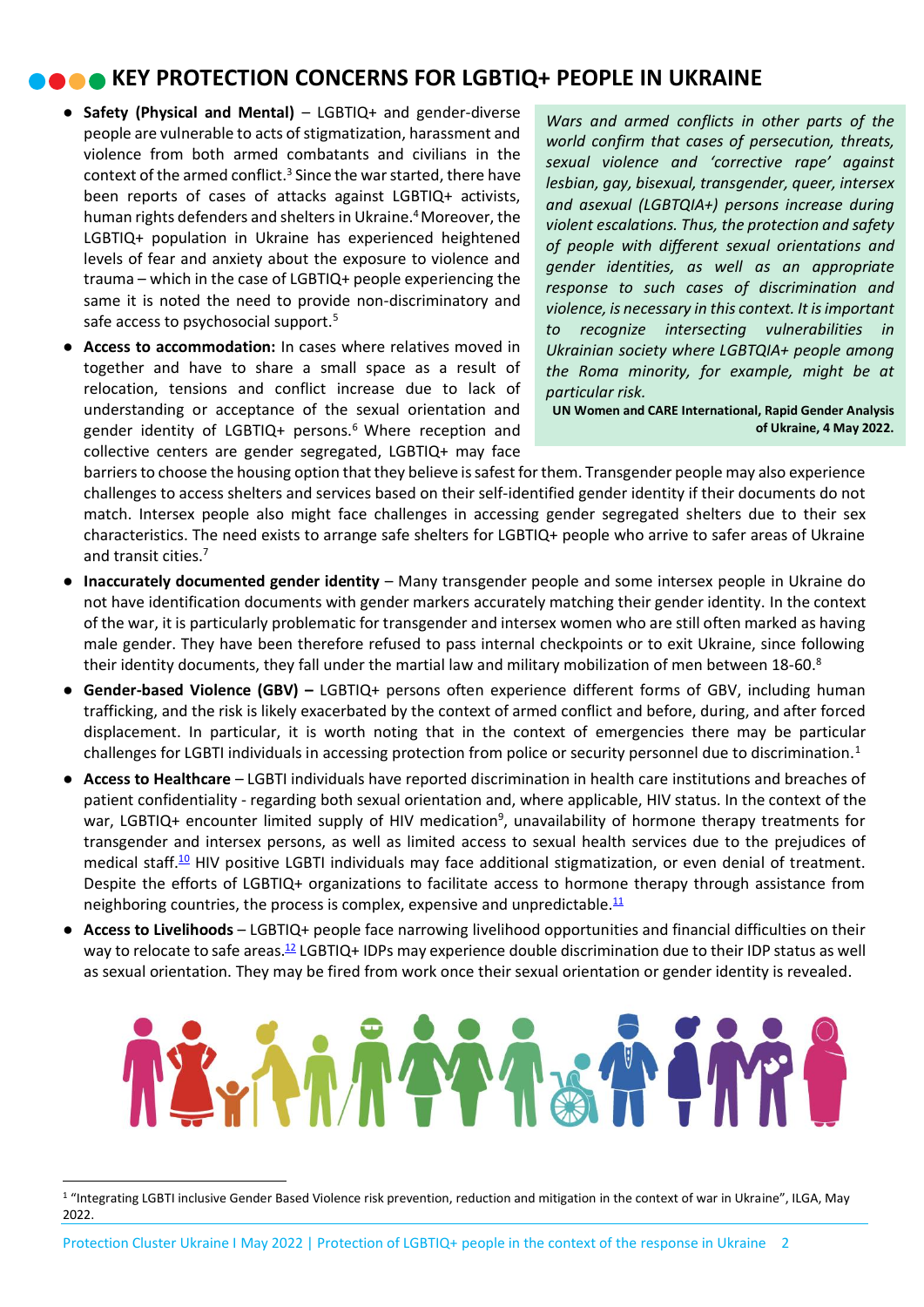## **KEY PROTECTION CONCERNS FOR LGBTIQ+ PEOPLE IN UKRAINE**

- **Safety (Physical and Mental)** LGBTIQ+ and gender-diverse people are vulnerable to acts of stigmatization, harassment and violence from both armed combatants and civilians in the context of the armed conflict[.](https://www.ohchr.org/en/press-releases/2022/03/ukraine-protection-lgbti-and-gender-diverse-refugees-remains-critical-un)<sup>3</sup> Since the war started, there have been reports of cases of attacks against LGBTIQ+ activists, human rights defenders and shelters in Ukraine[.](https://www.ilga-europe.org/sites/default/files/20220309_BN_Ukraine_LGBTI_people_and_mass_displacement_ILGA_Europe.pdf)<sup>4</sup> Moreover, the LGBTIQ+ population in Ukraine has experienced heightened levels of fear and anxiety about the exposure to violence and trauma – which in the case of LGBTIQ+ people experiencing the same it is noted the need to provide non-discriminatory and safe access to psychosocial support[.](https://www.unwomen.org/sites/default/files/2022-03/RGA%20Ukraine-SDR%20Full%20Report_0.pdf)<sup>5</sup>
- **Access to accommodation:** In cases where relatives moved in together and have to share a small space as a result of relocation, tensions and conflict increase due to lack of understanding or acceptance of the sexual orientation and gender identity of LGBTIQ+ persons.<sup>[6](https://www.unwomen.org/sites/default/files/2022-03/RGA%20Ukraine-SDR%20Full%20Report_0.pdf)</sup> Where reception and collective centers are gender segregated, LGBTIQ+ may face

*Wars and armed conflicts in other parts of the world confirm that cases of persecution, threats, sexual violence and 'corrective rape' against lesbian, gay, bisexual, transgender, queer, intersex and asexual (LGBTQIA+) persons increase during violent escalations. Thus, the protection and safety of people with different sexual orientations and gender identities, as well as an appropriate response to such cases of discrimination and violence, is necessary in this context. It is important to recognize intersecting vulnerabilities in Ukrainian society where LGBTQIA+ people among the Roma minority, for example, might be at particular risk.*

**UN Women and CARE International[, Rapid Gender Analysis](https://www.unwomen.org/sites/default/files/2022-03/RGA%20Ukraine-SDR%20Full%20Report_0.pdf)  [of Ukraine,](https://www.unwomen.org/sites/default/files/2022-03/RGA%20Ukraine-SDR%20Full%20Report_0.pdf) 4 May 2022.**

barriers to choose the housing option that they believe is safest for them. Transgender people may also experience challenges to access shelters and services based on their self-identified gender identity if their documents do not match. Intersex people also might face challenges in accessing gender segregated shelters due to their sex characteristics. The need exists to arrange safe shelters for LGBTIQ+ people who arrive to safer areas of Ukraine and transit cities.[7](https://qua.community/news/ukrainian-human-rights-organization-fulcrum-organized-shelters-in-lviv-for-lgbtq/)

- **Inaccurately documented gender identity** Many transgender people and some intersex people in Ukraine do not have identification documents with gender markers accurately matching their gender identity. In the context of the war, it is particularly problematic for transgender and intersex women who are still often marked as having male gender. They have been therefore refused to pass internal checkpoints or to exit Ukraine, since following their identity documents, they fall under the martial law and military mobilization of men between 1[8](https://www.ilga-europe.org/sites/default/files/20220309_BN_Ukraine_LGBTI_people_and_mass_displacement_ILGA_Europe.pdf)-60.<sup>8</sup>
- **Gender-based Violence (GBV) –** LGBTIQ+ persons often experience different forms of GBV, including human trafficking, and the risk is likely exacerbated by the context of armed conflict and before, during, and after forced displacement. In particular, it is worth noting that in the context of emergencies there may be particular challenges for LGBTI individuals in accessing protection from police or security personnel due to discrimination.<sup>1</sup>
- **Access to Healthcare**  LGBTI individuals have reported discrimination in health care institutions and breaches of patient confidentiality - regarding both sexual orientation and, where applicable, HIV status. In the context of the war[,](https://www.ilga-europe.org/sites/default/files/20220309_BN_Ukraine_LGBTI_people_and_mass_displacement_ILGA_Europe.pdf) LGBTIQ+ encounter limited supply of HIV medication<sup>9</sup>, unavailability of hormone therapy treatments for transgender and intersex persons, as well as limited access to sexual health services due to the prejudices of medical staff.<sup>[10](https://qua.community/news/ukrainian-human-rights-organization-fulcrum-organized-shelters-in-lviv-for-lgbtq/)</sup> HIV positive LGBTI individuals may face additional stigmatization, or even denial of treatment. Despite the efforts of LGBTIQ+ organizations to facilitate access to hormone therapy through assistance from neighboring countries, the process is complex, expensive and unpredictable.<sup>[11](https://www.ilga-europe.org/sites/default/files/20220308_BN_medications_needed_by_trans_and_intersex_people_ILGA_Europe_FINAL.pdf)</sup>
- **Access to Livelihoods** LGBTIQ+ people face narrowing livelihood opportunities and financial difficulties on their way to relocate to safe areas.<sup>[12](https://www.ilga-europe.org/sites/default/files/20220309_BN_Ukraine_LGBTI_people_and_mass_displacement_ILGA_Europe.pdf)</sup> LGBTIQ+ IDPs may experience double discrimination due to their IDP status as well as sexual orientation. They may be fired from work once their sexual orientation or gender identity is revealed.



<sup>&</sup>lt;sup>1</sup> "Integrating LGBTI inclusive Gender Based Violence risk prevention, reduction and mitigation in the context of war in Ukraine", ILGA, May 2022.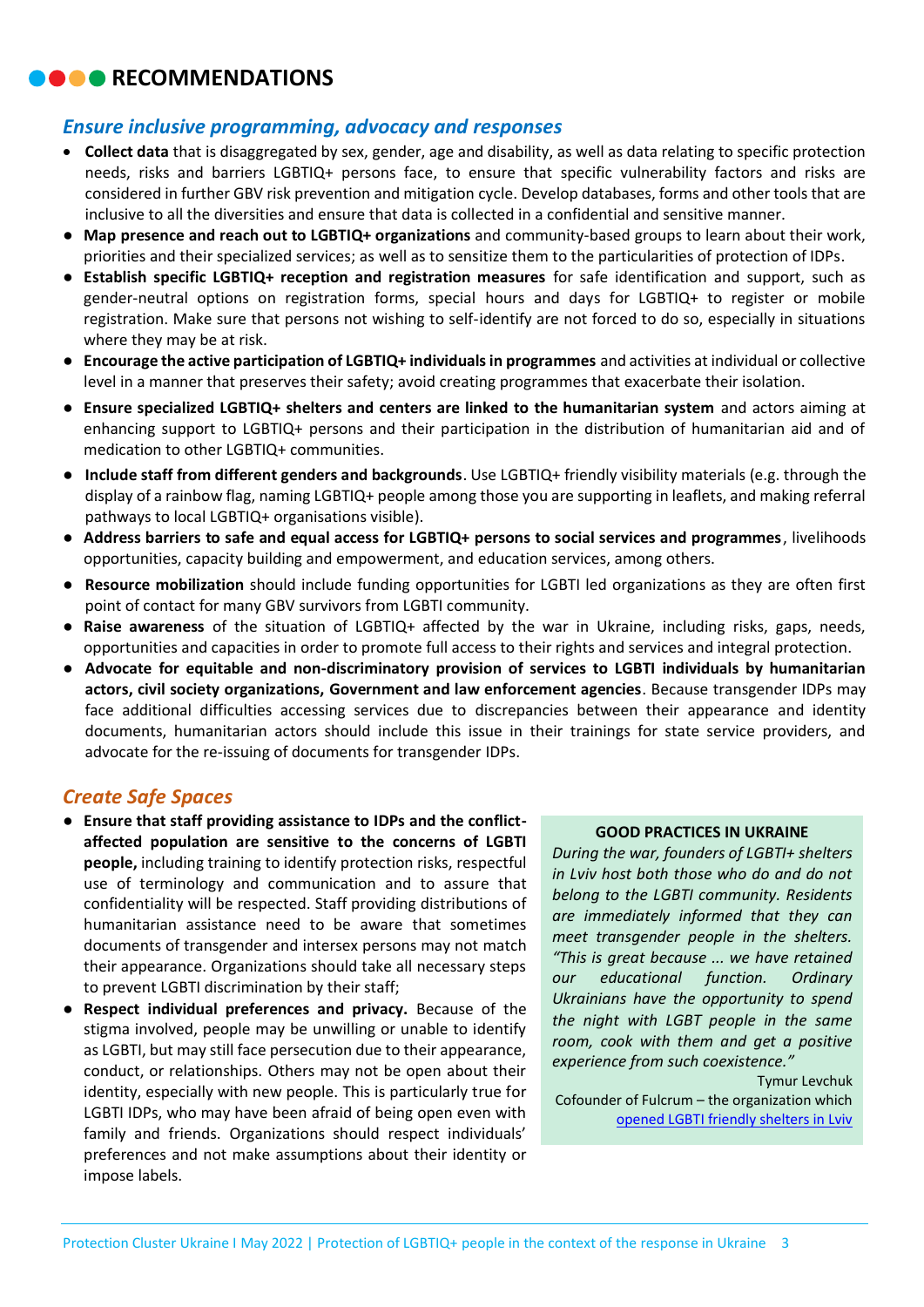## **RECOMMENDATIONS**

### *Ensure inclusive programming, advocacy and responses*

- **Collect data** that is disaggregated by sex, gender, age and disability, as well as data relating to specific protection needs, risks and barriers LGBTIQ+ persons face, to ensure that specific vulnerability factors and risks are considered in further GBV risk prevention and mitigation cycle. Develop databases, forms and other tools that are inclusive to all the diversities and ensure that data is collected in a confidential and sensitive manner.
- **Map presence and reach out to LGBTIQ+ organizations** and community-based groups to learn about their work, priorities and their specialized services; as well as to sensitize them to the particularities of protection of IDPs.
- **Establish specific LGBTIQ+ reception and registration measures** for safe identification and support, such as gender-neutral options on registration forms, special hours and days for LGBTIQ+ to register or mobile registration. Make sure that persons not wishing to self-identify are not forced to do so, especially in situations where they may be at risk.
- **Encourage the active participation of LGBTIQ+ individuals in programmes** and activities at individual or collective level in a manner that preserves their safety; avoid creating programmes that exacerbate their isolation.
- **Ensure specialized LGBTIQ+ shelters and centers are linked to the humanitarian system** and actors aiming at enhancing support to LGBTIQ+ persons and their participation in the distribution of humanitarian aid and of medication to other LGBTIQ+ communities.
- **Include staff from different genders and backgrounds**. Use LGBTIQ+ friendly visibility materials (e.g. through the display of a rainbow flag, naming LGBTIQ+ people among those you are supporting in leaflets, and making referral pathways to local LGBTIQ+ organisations visible).
- **Address barriers to safe and equal access for LGBTIQ+ persons to social services and programmes**, livelihoods opportunities, capacity building and empowerment, and education services, among others.
- **Resource mobilization** should include funding opportunities for LGBTI led organizations as they are often first point of contact for many GBV survivors from LGBTI community.
- **Raise awareness** of the situation of LGBTIQ+ affected by the war in Ukraine, including risks, gaps, needs, opportunities and capacities in order to promote full access to their rights and services and integral protection.
- **Advocate for equitable and non-discriminatory provision of services to LGBTI individuals by humanitarian actors, civil society organizations, Government and law enforcement agencies**. Because transgender IDPs may face additional difficulties accessing services due to discrepancies between their appearance and identity documents, humanitarian actors should include this issue in their trainings for state service providers, and advocate for the re-issuing of documents for transgender IDPs.

#### *Create Safe Spaces*

- **Ensure that staff providing assistance to IDPs and the conflictaffected population are sensitive to the concerns of LGBTI people,** including training to identify protection risks, respectful use of terminology and communication and to assure that confidentiality will be respected. Staff providing distributions of humanitarian assistance need to be aware that sometimes documents of transgender and intersex persons may not match their appearance. Organizations should take all necessary steps to prevent LGBTI discrimination by their staff;
- **Respect individual preferences and privacy.** Because of the stigma involved, people may be unwilling or unable to identify as LGBTI, but may still face persecution due to their appearance, conduct, or relationships. Others may not be open about their identity, especially with new people. This is particularly true for LGBTI IDPs, who may have been afraid of being open even with family and friends. Organizations should respect individuals' preferences and not make assumptions about their identity or impose labels.

#### **GOOD PRACTICES IN UKRAINE**

*During the war, founders of LGBTI+ shelters in Lviv host both those who do and do not belong to the LGBTI community. Residents are immediately informed that they can meet transgender people in the shelters. "This is great because ... we have retained our educational function. Ordinary Ukrainians have the opportunity to spend the night with LGBT people in the same room, cook with them and get a positive experience from such coexistence."*

Tymur Levchuk Cofounder of Fulcrum – the organization which [opened LGBTI friendly shelters in Lviv](https://qua.community/news/ukrainian-human-rights-organization-fulcrum-organized-shelters-in-lviv-for-lgbtq/)